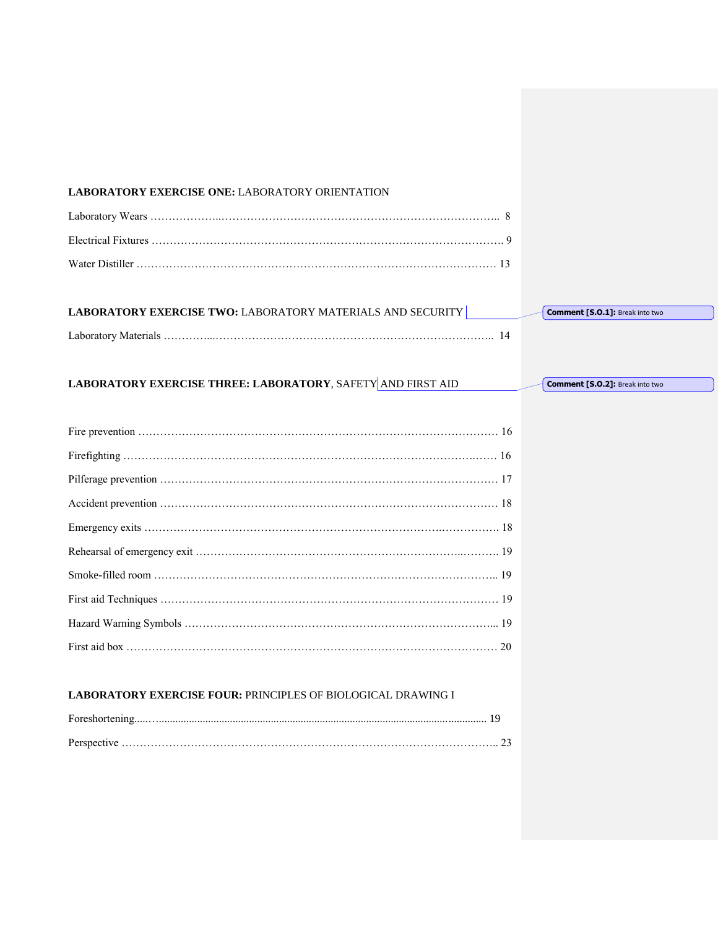#### **LABORATORY EXERCISE ONE:** LABORATORY ORIENTATION

| LABORATORY EXERCISE TWO: LABORATORY MATERIALS AND SECURITY | <b>Comment [S.O.1]: Break into two</b> |
|------------------------------------------------------------|----------------------------------------|
| Laboratory Materials                                       |                                        |

# LABORATORY EXERCISE THREE: LABORATORY, SAFETY AND FIRST AID

Fire prevention ……………………………………………………………………………………… 16 Firefighting …………………………………………………………………………………….…… 16 Pilferage prevention ………………………………………………………………………………… 17 Accident prevention ………………………………………………………………………………… 18 Emergency exits ……………………………………………………………………….……………. 18 Rehearsal of emergency exit ………………………………………………………………..………. 19 Smoke-filled room ………………………………………………………………………………….. 19 First aid Techniques ………………………………………………………………………………… 19 Hazard Warning Symbols …………………………………………………………………………... 19 First aid box ………………………………………………………………………………………… 20

## **LABORATORY EXERCISE FOUR:** PRINCIPLES OF BIOLOGICAL DRAWING I

**Comment [S.O.2]:** Break into two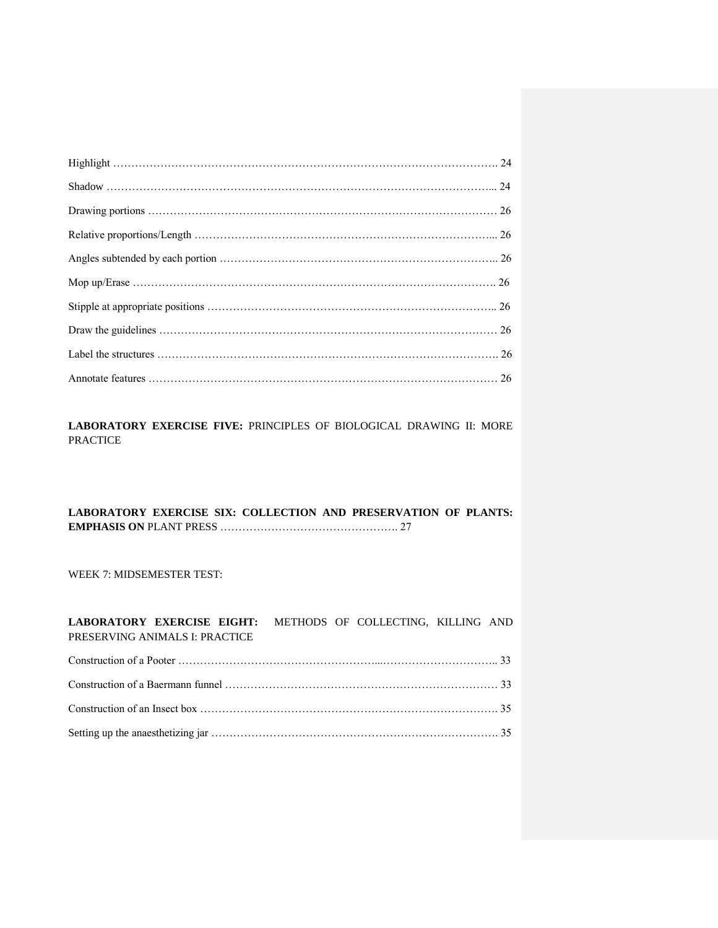LABORATORY EXERCISE FIVE: PRINCIPLES OF BIOLOGICAL DRAWING II: MORE PRACTICE

# **LABORATORY EXERCISE SIX: COLLECTION AND PRESERVATION OF PLANTS: EMPHASIS ON** PLANT PRESS …………………………………………. 27

WEEK 7: MIDSEMESTER TEST:

**LABORATORY EXERCISE EIGHT:** METHODS OF COLLECTING, KILLING AND PRESERVING ANIMALS I: PRACTICE